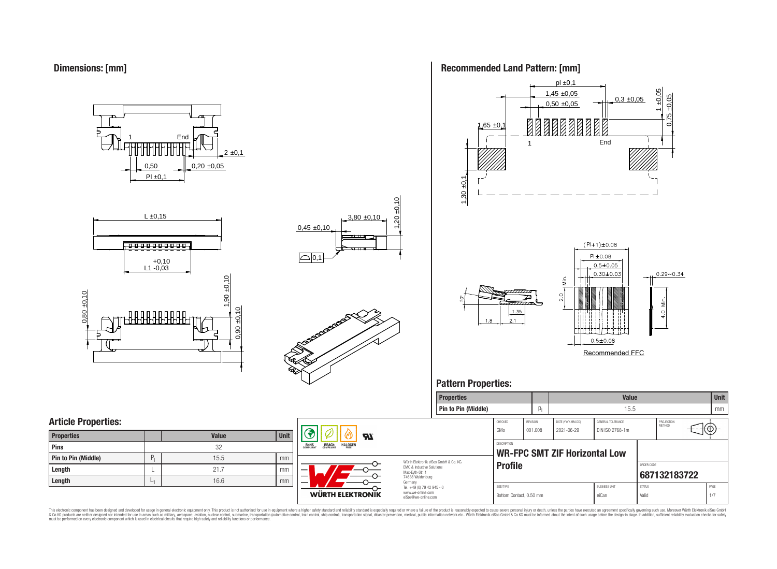**Dimensions: [mm]**

0,50  $PI \pm 0.1$  $0.20 \pm 0.05$  $2 \pm 0,1$ **End** 







### **Recommended Land Pattern: [mm]**



Recommended FFC

### **Pattern Properties:**



This electronic component has been designed and developed for usage in general electronic equipment only. This product is not authorized for use in equipment where a higher safely standard and reliability standard si espec & Ook product a label and the membed of the seasuch as marked and as which such a membed and the such assume that income in the seasuch and the simulation and the such assume that include to the such a membed and the such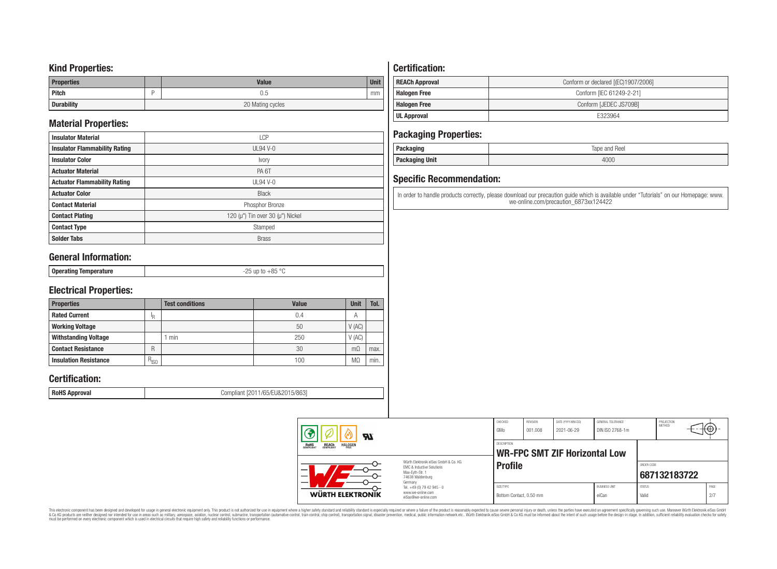### **Kind Properties:**

| <b>Properties</b> | <b>Value</b>     | <b>Unit</b> |
|-------------------|------------------|-------------|
| Pitch             | U.5              | mm          |
| <b>Durability</b> | 20 Mating cycles |             |

## **Material Properties:**

| <b>Insulator Material</b>            | <b>LCP</b>                                   |
|--------------------------------------|----------------------------------------------|
| <b>Insulator Flammability Rating</b> | $UL94V-0$                                    |
| <b>Insulator Color</b>               | Ivory                                        |
| <b>Actuator Material</b>             | PA <sub>6</sub> T                            |
| <b>Actuator Flammability Rating</b>  | $UL94V-0$                                    |
| <b>Actuator Color</b>                | <b>Black</b>                                 |
| <b>Contact Material</b>              | Phosphor Bronze                              |
| <b>Contact Plating</b>               | 120 ( $\mu$ ") Tin over 30 ( $\mu$ ") Nickel |
| <b>Contact Type</b>                  | Stamped                                      |
| <b>Solder Tabs</b>                   | <b>Brass</b>                                 |

## **General Information:**

| $\sim$ |
|--------|
|--------|

## **Electrical Properties:**

| <b>Properties</b>            |           | <b>Test conditions</b> | <b>Value</b> | <b>Unit</b>    | Tol. |
|------------------------------|-----------|------------------------|--------------|----------------|------|
| <b>Rated Current</b>         | ΙR        |                        | 0.4          | $\overline{A}$ |      |
| <b>Working Voltage</b>       |           |                        | 50           | V(AC)          |      |
| <b>Withstanding Voltage</b>  |           | min                    | 250          | V(AC)          |      |
| <b>Contact Resistance</b>    | R         |                        | 30           | $m\Omega$      | max. |
| <b>Insulation Resistance</b> | $R_{ISO}$ |                        | 100          | M.             | min. |

## **Certification:**

**RoHS Approval RoHS Approval Compliant** [2011/65/EU&2015/863]

## **Certification:**

| <b>REACh Approval</b> | Conform or declared [(EC)1907/2006] |
|-----------------------|-------------------------------------|
| <b>Halogen Free</b>   | Conform [IEC 61249-2-21]            |
| <b>Halogen Free</b>   | Conform [JEDEC JS709B]              |
| <b>UL Approval</b>    | E323964                             |

## **Packaging Properties:**

| . aundyniy                | Reel<br>lape<br>and |
|---------------------------|---------------------|
| <b>Unit</b><br>rackayılıy | 4000                |

## **Specific Recommendation:**

In order to handle products correctly, please download our precaution guide which is available under "Tutorials" on our Homepage: www. we-online.com/precaution\_6873xx124422

| Яï                                                               |                                                                                                                     | CHECKED<br>GMo                       | REVISION<br>001.008 | DATE (YYYY-MM-DD)<br>2021-06-29      | GENERAL TOLERANCE<br>DIN ISO 2768-1m |                        | PROJECTION<br>METHOD | ι₩,         |  |
|------------------------------------------------------------------|---------------------------------------------------------------------------------------------------------------------|--------------------------------------|---------------------|--------------------------------------|--------------------------------------|------------------------|----------------------|-------------|--|
| ROHS<br>COMPLIANT<br><b>HALOGEN</b><br><b>REACH</b><br>COMPLIANT |                                                                                                                     | <b>DESCRIPTION</b>                   |                     | <b>WR-FPC SMT ZIF Horizontal Low</b> |                                      |                        |                      |             |  |
|                                                                  | Würth Elektronik eiSos GmbH & Co. KG<br>EMC & Inductive Solutions<br>Max-Evth-Str. 1<br>74638 Waldenburg<br>Germany | <b>Profile</b>                       |                     |                                      |                                      | ORDER CODE             | 687132183722         |             |  |
| <b>WÜRTH ELEKTRONIK</b>                                          | Tel. +49 (0) 79 42 945 - 0<br>www.we-online.com<br>eiSos@we-online.com                                              | SIZE/TYPE<br>Bottom Contact, 0.50 mm |                     |                                      | <b>BUSINESS UNIT</b><br>eiCan        | <b>STATUS</b><br>Valid |                      | PAGE<br>2/7 |  |

This electronic component has been designed and developed for usage in general electronic equipment only. This product is not authorized for subserved requipment where a higher selection equipment where a higher selection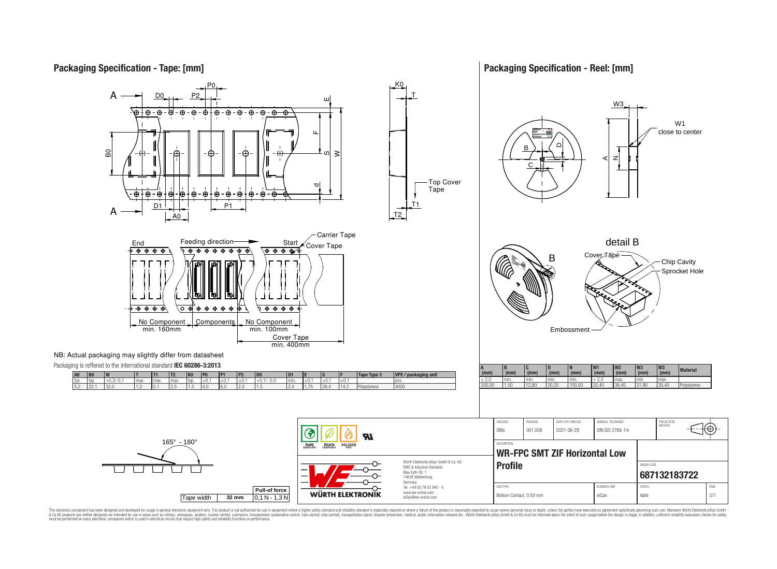## **Packaging Specification - Tape: [mm]**

### **Packaging Specification - Reel: [mm]**







This electronic component has been designed and developed for usage in general electronic equipment only. This product is not authorized for use in equipment where a higher safely standard and reliability standard si espec & Ook product a label and the membed of the seasuch as marked and as which such a membed and the such assume that income in the seasuch and the simulation and the such assume that include to the such a membed and the such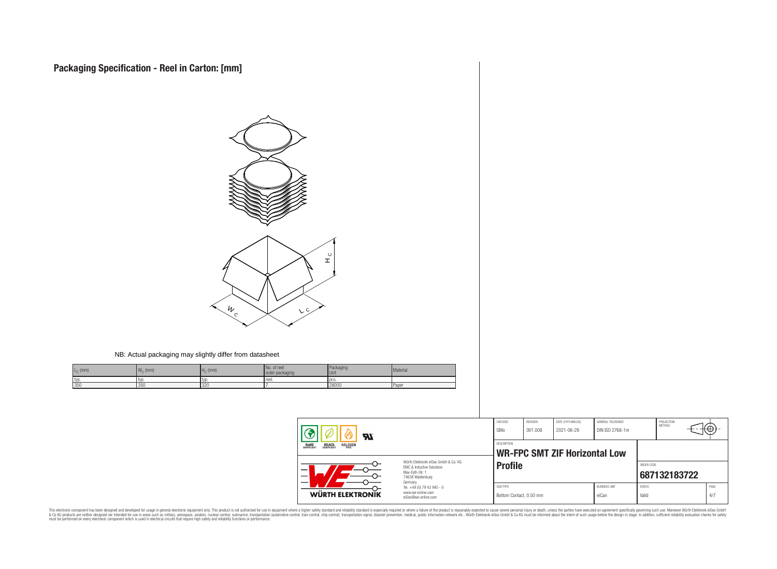

#### NB: Actual packaging may slightly differ from datasheet

| $L_{\rm C}$ (mm) | $\mathbf{M}$<br>$\cdot$ (mm)<br>4 V V O | H <sub>c</sub><br>(mm) | . of reel<br>packaging<br>outer | Packaging<br><b>Unit</b> | Material |
|------------------|-----------------------------------------|------------------------|---------------------------------|--------------------------|----------|
| typ              | typ                                     | .tvr                   | reel.                           | l oc:                    |          |
| 350              | 350                                     | 320                    |                                 | 28000                    | Paper    |

| Яľ<br><b>HALOGEN</b><br>REACH<br>COMPLIANT<br>ROHS<br>COMPLIANT |                                                                                                                     | CHECKED<br>GMo                                      | REVISION<br>001.008 | DATE (YYYY-MM-DD)<br>2021-06-29 | GENERAL TOLERANCE<br>DIN ISO 2768-1m |                        | PROJECTION<br><b>METHOD</b> | ⊦⊕          |
|-----------------------------------------------------------------|---------------------------------------------------------------------------------------------------------------------|-----------------------------------------------------|---------------------|---------------------------------|--------------------------------------|------------------------|-----------------------------|-------------|
|                                                                 |                                                                                                                     | DESCRIPTION<br><b>WR-FPC SMT ZIF Horizontal Low</b> |                     |                                 |                                      |                        |                             |             |
| –                                                               | Würth Elektronik eiSos GmbH & Co. KG<br>EMC & Inductive Solutions<br>Max-Evth-Str. 1<br>74638 Waldenburg<br>Germany | <b>Profile</b>                                      |                     |                                 |                                      | ORDER CODE             | 687132183722                |             |
| WÜRTH ELEKTRONIK                                                | Tel. +49 (0) 79 42 945 - 0<br>www.we-online.com<br>eiSos@we-online.com                                              | SIZE/TYPE<br>Bottom Contact, 0.50 mm                |                     |                                 | <b>BUSINESS UNIT</b><br>eiCan        | <b>STATUS</b><br>Valid |                             | PAGE<br>4/7 |

This electronic component has been designed and developed for usage in general electronic equipment only. This product is not authorized for subserved requipment where a higher selection equipment where a higher selection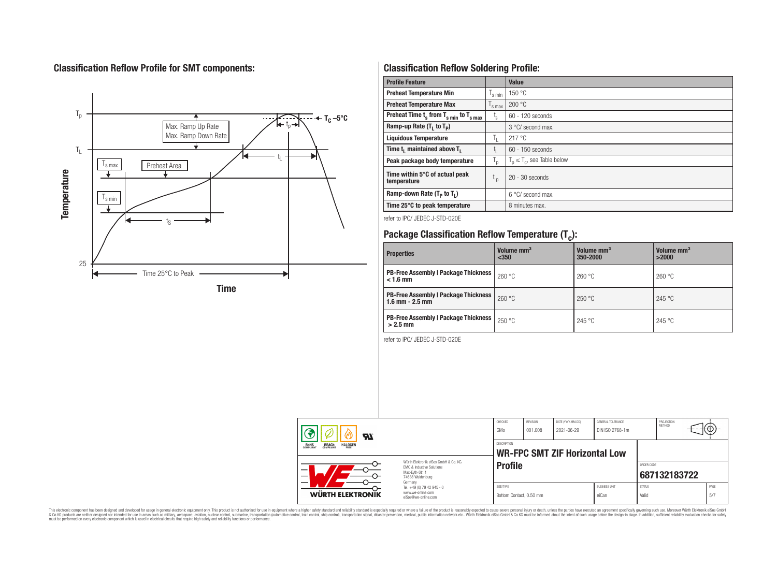## **Classification Reflow Profile for SMT components:**



## **Classification Reflow Soldering Profile:**

| <b>Profile Feature</b>                              |                    | <b>Value</b>                     |
|-----------------------------------------------------|--------------------|----------------------------------|
| <b>Preheat Temperature Min</b>                      | $\frac{1}{s}$ min  | 150 °C                           |
| <b>Preheat Temperature Max</b>                      | $\mathsf{I}$ s max | 200 °C                           |
| Preheat Time $t_s$ from $T_{s min}$ to $T_{s max}$  | t,                 | $60 - 120$ seconds               |
| Ramp-up Rate $(T_1$ to $T_p$ )                      |                    | $3^{\circ}$ C/ second max.       |
| <b>Liquidous Temperature</b>                        | T,                 | 217 °C                           |
| Time t <sub>i</sub> maintained above T <sub>1</sub> | t,                 | 60 - 150 seconds                 |
| Peak package body temperature                       | T <sub>o</sub>     | $T_p \leq T_c$ , see Table below |
| Time within 5°C of actual peak<br>temperature       | $t_{p}$            | $20 - 30$ seconds                |
| Ramp-down Rate $(T_p$ to $T_1$ )                    |                    | $6^{\circ}$ C/ second max.       |
| Time 25°C to peak temperature                       |                    | 8 minutes max.                   |

refer to IPC/ JEDEC J-STD-020E

# **Package Classification Reflow Temperature (T<sup>c</sup> ):**

| <b>Properties</b>                                                    | Volume mm <sup>3</sup><br>$350$ | Volume mm <sup>3</sup><br>350-2000 | Volume mm <sup>3</sup><br>>2000 |
|----------------------------------------------------------------------|---------------------------------|------------------------------------|---------------------------------|
| <b>PB-Free Assembly   Package Thickness</b><br>$< 1.6$ mm            | 260 °C                          | 260 °C                             | 260 °C                          |
| <b>PB-Free Assembly   Package Thickness  </b><br>$1.6$ mm $- 2.5$ mm | 260 °C                          | 250 °C                             | 245 °C                          |
| <b>PB-Free Assembly   Package Thickness  </b><br>$>2.5$ mm           | 250 °C                          | 245 °C                             | 245 °C                          |

refer to IPC/ JEDEC J-STD-020E

| Яī<br><b>REACH</b><br>COMPLIANT<br><b>HALOGEN</b><br><b>ROHS</b><br>COMPLIANT<br>Würth Elektronik eiSos GmbH & Co. KG<br><b>FMC &amp; Inductive Solutions</b><br>—<br>Max-Evth-Str. 1<br>$\overline{\phantom{0}}$<br>74638 Waldenburg<br>Germany |                                                                        | CHECKED<br>GMo                       | <b>REVISION</b><br>001.008 | DATE (YYYY-MM-DD)<br>2021-06-29      | GENERAL TOLERANCE<br>DIN ISO 2768-1m |                        | PROJECTION<br><b>METHOD</b> | tΨ.         |
|--------------------------------------------------------------------------------------------------------------------------------------------------------------------------------------------------------------------------------------------------|------------------------------------------------------------------------|--------------------------------------|----------------------------|--------------------------------------|--------------------------------------|------------------------|-----------------------------|-------------|
|                                                                                                                                                                                                                                                  |                                                                        | <b>DESCRIPTION</b>                   |                            | <b>WR-FPC SMT ZIF Horizontal Low</b> |                                      |                        |                             |             |
|                                                                                                                                                                                                                                                  |                                                                        | <b>Profile</b>                       |                            |                                      |                                      | ORDER CODE             | 687132183722                |             |
| <b>WÜRTH ELEKTRONIK</b>                                                                                                                                                                                                                          | Tel. +49 (0) 79 42 945 - 0<br>www.we-online.com<br>eiSos@we-online.com | SIZE/TYPE<br>Bottom Contact, 0.50 mm |                            |                                      | <b>BUSINESS UNIT</b><br>eiCan        | <b>STATUS</b><br>Valid |                             | PAGE<br>5/7 |

This electronic component has been designed and developed for usage in general electronic equipment only. This product is not authorized for subserved requipment where a higher selection equipment where a higher selection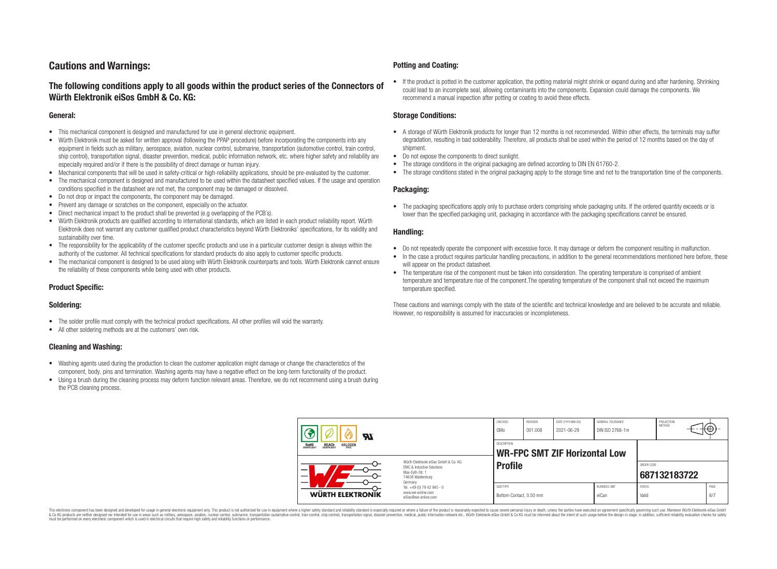## **Cautions and Warnings:**

### **The following conditions apply to all goods within the product series of the Connectors of Würth Elektronik eiSos GmbH & Co. KG:**

#### **General:**

- This mechanical component is designed and manufactured for use in general electronic equipment.
- Würth Elektronik must be asked for written approval (following the PPAP procedure) before incorporating the components into any equipment in fields such as military, aerospace, aviation, nuclear control, submarine, transportation (automotive control, train control, ship control), transportation signal, disaster prevention, medical, public information network, etc. where higher safety and reliability are especially required and/or if there is the possibility of direct damage or human injury.
- Mechanical components that will be used in safety-critical or high-reliability applications, should be pre-evaluated by the customer.
- The mechanical component is designed and manufactured to be used within the datasheet specified values. If the usage and operation conditions specified in the datasheet are not met, the component may be damaged or dissolved.
- Do not drop or impact the components, the component may be damaged.
- Prevent any damage or scratches on the component, especially on the actuator.
- Direct mechanical impact to the product shall be prevented (e.g overlapping of the PCB's).
- Würth Elektronik products are qualified according to international standards, which are listed in each product reliability report. Würth Elektronik does not warrant any customer qualified product characteristics beyond Würth Elektroniks' specifications, for its validity and sustainability over time.
- The responsibility for the applicability of the customer specific products and use in a particular customer design is always within the authority of the customer. All technical specifications for standard products do also apply to customer specific products.
- The mechanical component is designed to be used along with Würth Elektronik counterparts and tools. Würth Elektronik cannot ensure the reliability of these components while being used with other products.

#### **Product Specific:**

#### **Soldering:**

- The solder profile must comply with the technical product specifications. All other profiles will void the warranty.
- All other soldering methods are at the customers' own risk.

#### **Cleaning and Washing:**

- Washing agents used during the production to clean the customer application might damage or change the characteristics of the component, body, pins and termination. Washing agents may have a negative effect on the long-term functionality of the product.
- Using a brush during the cleaning process may deform function relevant areas. Therefore, we do not recommend using a brush during the PCB cleaning process.

#### **Potting and Coating:**

• If the product is potted in the customer application, the potting material might shrink or expand during and after hardening. Shrinking could lead to an incomplete seal, allowing contaminants into the components. Expansion could damage the components. We recommend a manual inspection after potting or coating to avoid these effects.

#### **Storage Conditions:**

- A storage of Würth Elektronik products for longer than 12 months is not recommended. Within other effects, the terminals may suffer degradation, resulting in bad solderability. Therefore, all products shall be used within the period of 12 months based on the day of shipment.
- Do not expose the components to direct sunlight.
- The storage conditions in the original packaging are defined according to DIN EN 61760-2.
- The storage conditions stated in the original packaging apply to the storage time and not to the transportation time of the components.

#### **Packaging:**

• The packaging specifications apply only to purchase orders comprising whole packaging units. If the ordered quantity exceeds or is lower than the specified packaging unit, packaging in accordance with the packaging specifications cannot be ensured.

#### **Handling:**

- Do not repeatedly operate the component with excessive force. It may damage or deform the component resulting in malfunction.
- In the case a product requires particular handling precautions, in addition to the general recommendations mentioned here before, these will appear on the product datasheet
- The temperature rise of the component must be taken into consideration. The operating temperature is comprised of ambient temperature and temperature rise of the component.The operating temperature of the component shall not exceed the maximum temperature specified.

These cautions and warnings comply with the state of the scientific and technical knowledge and are believed to be accurate and reliable. However, no responsibility is assumed for inaccuracies or incompleteness.

| Яľ                                                                      |                                                                                                                                | CHECKED<br>GMo                       | REVISION<br>001.008                                 | DATE (YYYY-MM-DD)<br>2021-06-29 | GENERAL TOLERANCE<br>DIN ISO 2768-1m |                            | PROJECTION<br><b>METHOD</b> | ₩₩. |             |
|-------------------------------------------------------------------------|--------------------------------------------------------------------------------------------------------------------------------|--------------------------------------|-----------------------------------------------------|---------------------------------|--------------------------------------|----------------------------|-----------------------------|-----|-------------|
| <b>REACH</b><br>COMPLIANT<br><b>HALOGEN</b><br><b>ROHS</b><br>COMPLIANT |                                                                                                                                |                                      | DESCRIPTION<br><b>WR-FPC SMT ZIF Horizontal Low</b> |                                 |                                      |                            |                             |     |             |
|                                                                         | Würth Flektronik eiSos GmbH & Co. KG<br><b>FMC &amp; Inductive Solutions</b><br>Max-Evth-Str. 1<br>74638 Waldenburg<br>Germany | <b>Profile</b>                       |                                                     |                                 |                                      | ORDER CODE<br>687132183722 |                             |     |             |
| <b>WÜRTH ELEKTRONIK</b>                                                 | Tel. +49 (0) 79 42 945 - 0<br>www.we-online.com<br>eiSos@we-online.com                                                         | SIZE/TYPE<br>Bottom Contact, 0.50 mm |                                                     |                                 | <b>BUSINESS UNIT</b><br>eiCan        | <b>STATUS</b><br>Valid     |                             |     | PAGE<br>6/7 |

This electronic component has been designed and developed for usage in general electronic equipment only. This product is not authorized for use in equipment where a higher safety standard and reliability standard si espec & Ook product a label and the membed of the seasuch as marked and as which such a membed and the such assume that income in the seasuch and the simulation and the such assume that include to the such a membed and the such